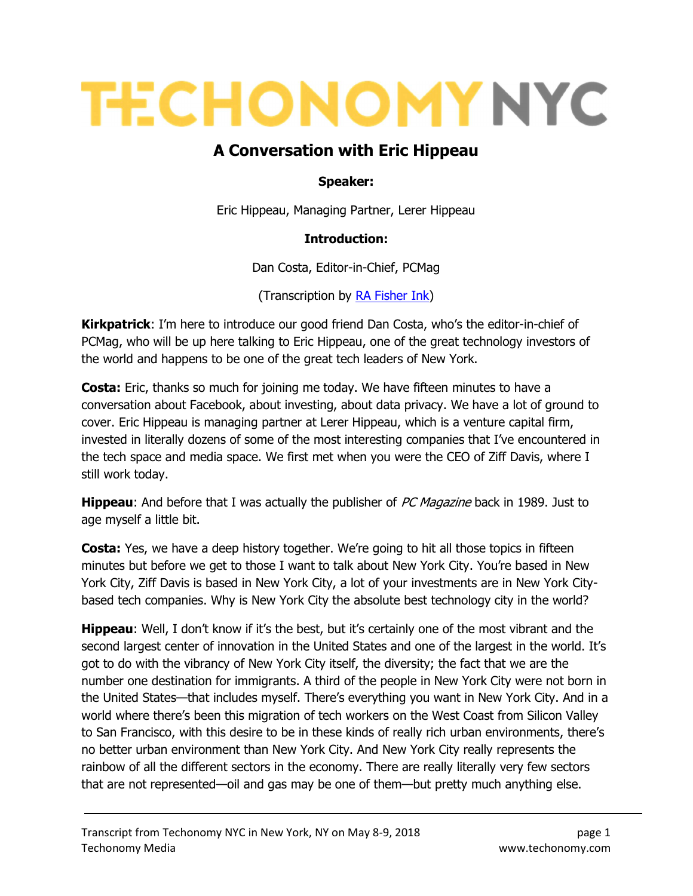# **TECHONOMY NYC**

# A Conversation with Eric Hippeau

#### Speaker:

Eric Hippeau, Managing Partner, Lerer Hippeau

#### Introduction:

Dan Costa, Editor-in-Chief, PCMag

(Transcription by RA Fisher Ink)

**Kirkpatrick:** I'm here to introduce our good friend Dan Costa, who's the editor-in-chief of PCMag, who will be up here talking to Eric Hippeau, one of the great technology investors of the world and happens to be one of the great tech leaders of New York.

**Costa:** Eric, thanks so much for joining me today. We have fifteen minutes to have a conversation about Facebook, about investing, about data privacy. We have a lot of ground to cover. Eric Hippeau is managing partner at Lerer Hippeau, which is a venture capital firm, invested in literally dozens of some of the most interesting companies that I've encountered in the tech space and media space. We first met when you were the CEO of Ziff Davis, where I still work today.

**Hippeau**: And before that I was actually the publisher of PC Magazine back in 1989. Just to age myself a little bit.

**Costa:** Yes, we have a deep history together. We're going to hit all those topics in fifteen minutes but before we get to those I want to talk about New York City. You're based in New York City, Ziff Davis is based in New York City, a lot of your investments are in New York Citybased tech companies. Why is New York City the absolute best technology city in the world?

Hippeau: Well, I don't know if it's the best, but it's certainly one of the most vibrant and the second largest center of innovation in the United States and one of the largest in the world. It's got to do with the vibrancy of New York City itself, the diversity; the fact that we are the number one destination for immigrants. A third of the people in New York City were not born in the United States—that includes myself. There's everything you want in New York City. And in a world where there's been this migration of tech workers on the West Coast from Silicon Valley to San Francisco, with this desire to be in these kinds of really rich urban environments, there's no better urban environment than New York City. And New York City really represents the rainbow of all the different sectors in the economy. There are really literally very few sectors that are not represented—oil and gas may be one of them—but pretty much anything else.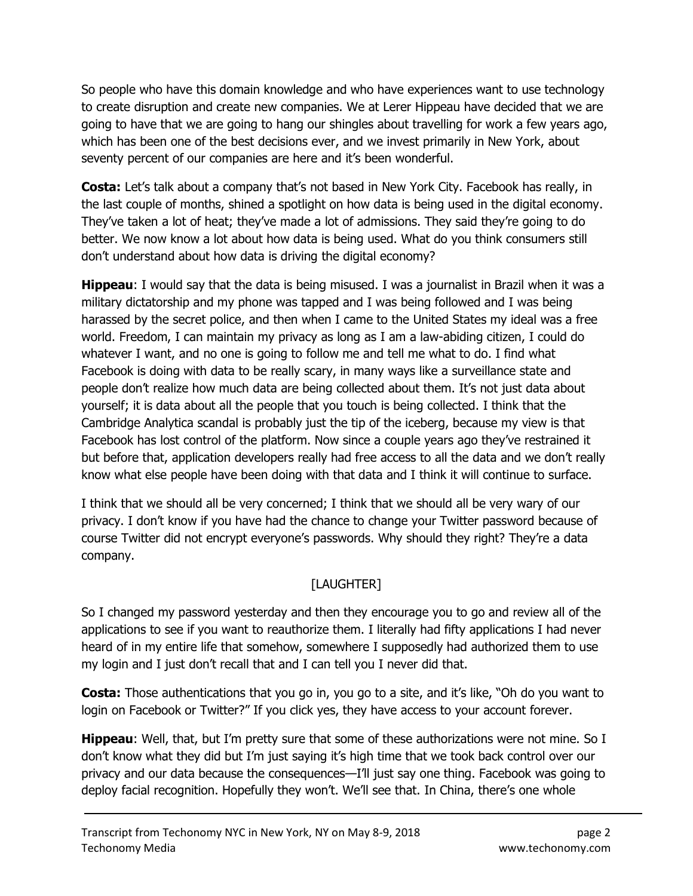So people who have this domain knowledge and who have experiences want to use technology to create disruption and create new companies. We at Lerer Hippeau have decided that we are going to have that we are going to hang our shingles about travelling for work a few years ago, which has been one of the best decisions ever, and we invest primarily in New York, about seventy percent of our companies are here and it's been wonderful.

**Costa:** Let's talk about a company that's not based in New York City. Facebook has really, in the last couple of months, shined a spotlight on how data is being used in the digital economy. They've taken a lot of heat; they've made a lot of admissions. They said they're going to do better. We now know a lot about how data is being used. What do you think consumers still don't understand about how data is driving the digital economy?

**Hippeau:** I would say that the data is being misused. I was a journalist in Brazil when it was a military dictatorship and my phone was tapped and I was being followed and I was being harassed by the secret police, and then when I came to the United States my ideal was a free world. Freedom, I can maintain my privacy as long as I am a law-abiding citizen, I could do whatever I want, and no one is going to follow me and tell me what to do. I find what Facebook is doing with data to be really scary, in many ways like a surveillance state and people don't realize how much data are being collected about them. It's not just data about yourself; it is data about all the people that you touch is being collected. I think that the Cambridge Analytica scandal is probably just the tip of the iceberg, because my view is that Facebook has lost control of the platform. Now since a couple years ago they've restrained it but before that, application developers really had free access to all the data and we don't really know what else people have been doing with that data and I think it will continue to surface.

I think that we should all be very concerned; I think that we should all be very wary of our privacy. I don't know if you have had the chance to change your Twitter password because of course Twitter did not encrypt everyone's passwords. Why should they right? They're a data company.

## [LAUGHTER]

So I changed my password yesterday and then they encourage you to go and review all of the applications to see if you want to reauthorize them. I literally had fifty applications I had never heard of in my entire life that somehow, somewhere I supposedly had authorized them to use my login and I just don't recall that and I can tell you I never did that.

**Costa:** Those authentications that you go in, you go to a site, and it's like, "Oh do you want to login on Facebook or Twitter?" If you click yes, they have access to your account forever.

**Hippeau:** Well, that, but I'm pretty sure that some of these authorizations were not mine. So I don't know what they did but I'm just saying it's high time that we took back control over our privacy and our data because the consequences—I'll just say one thing. Facebook was going to deploy facial recognition. Hopefully they won't. We'll see that. In China, there's one whole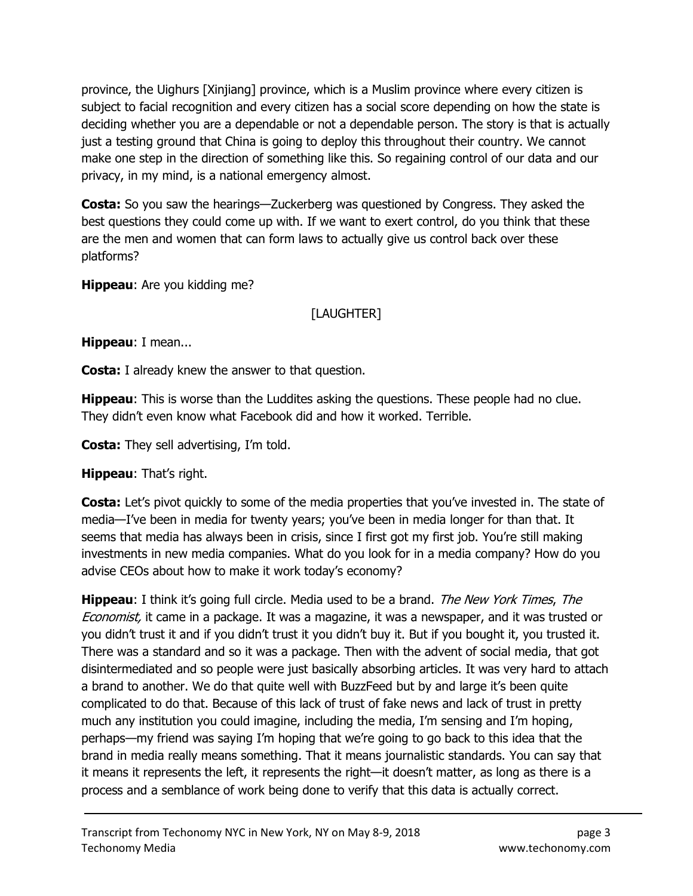province, the Uighurs [Xinjiang] province, which is a Muslim province where every citizen is subject to facial recognition and every citizen has a social score depending on how the state is deciding whether you are a dependable or not a dependable person. The story is that is actually just a testing ground that China is going to deploy this throughout their country. We cannot make one step in the direction of something like this. So regaining control of our data and our privacy, in my mind, is a national emergency almost.

**Costa:** So you saw the hearings—Zuckerberg was questioned by Congress. They asked the best questions they could come up with. If we want to exert control, do you think that these are the men and women that can form laws to actually give us control back over these platforms?

**Hippeau:** Are you kidding me?

### [LAUGHTER]

Hippeau: I mean...

**Costa:** I already knew the answer to that question.

**Hippeau:** This is worse than the Luddites asking the questions. These people had no clue. They didn't even know what Facebook did and how it worked. Terrible.

**Costa:** They sell advertising, I'm told.

**Hippeau:** That's right.

**Costa:** Let's pivot quickly to some of the media properties that you've invested in. The state of media—I've been in media for twenty years; you've been in media longer for than that. It seems that media has always been in crisis, since I first got my first job. You're still making investments in new media companies. What do you look for in a media company? How do you advise CEOs about how to make it work today's economy?

**Hippeau:** I think it's going full circle. Media used to be a brand. *The New York Times, The* Economist, it came in a package. It was a magazine, it was a newspaper, and it was trusted or you didn't trust it and if you didn't trust it you didn't buy it. But if you bought it, you trusted it. There was a standard and so it was a package. Then with the advent of social media, that got disintermediated and so people were just basically absorbing articles. It was very hard to attach a brand to another. We do that quite well with BuzzFeed but by and large it's been quite complicated to do that. Because of this lack of trust of fake news and lack of trust in pretty much any institution you could imagine, including the media, I'm sensing and I'm hoping, perhaps—my friend was saying I'm hoping that we're going to go back to this idea that the brand in media really means something. That it means journalistic standards. You can say that it means it represents the left, it represents the right—it doesn't matter, as long as there is a process and a semblance of work being done to verify that this data is actually correct.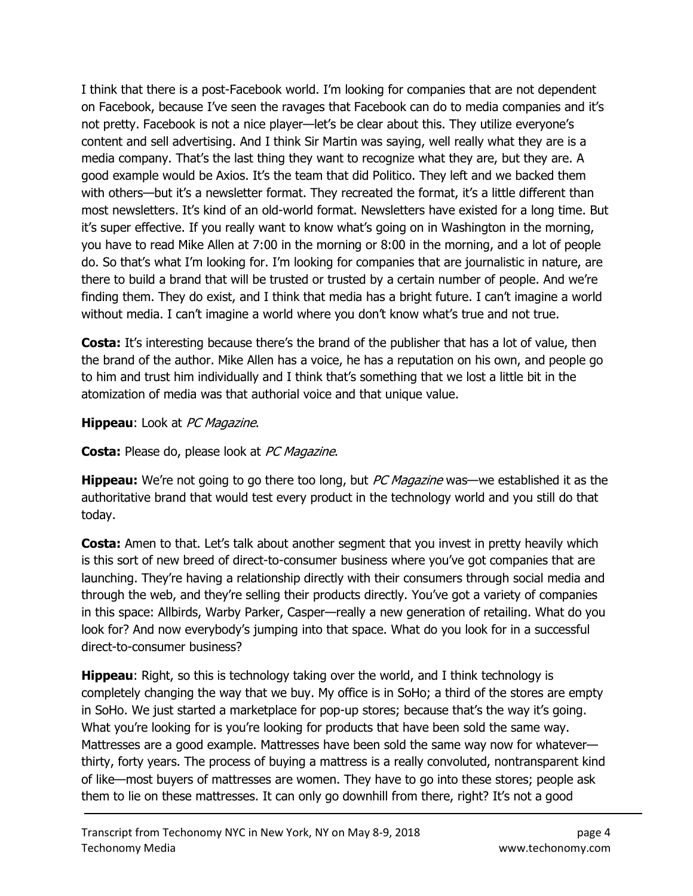I think that there is a post-Facebook world. I'm looking for companies that are not dependent on Facebook, because I've seen the ravages that Facebook can do to media companies and it's not pretty. Facebook is not a nice player—let's be clear about this. They utilize everyone's content and sell advertising. And I think Sir Martin was saying, well really what they are is a media company. That's the last thing they want to recognize what they are, but they are. A good example would be Axios. It's the team that did Politico. They left and we backed them with others—but it's a newsletter format. They recreated the format, it's a little different than most newsletters. It's kind of an old-world format. Newsletters have existed for a long time. But it's super effective. If you really want to know what's going on in Washington in the morning, you have to read Mike Allen at 7:00 in the morning or 8:00 in the morning, and a lot of people do. So that's what I'm looking for. I'm looking for companies that are journalistic in nature, are there to build a brand that will be trusted or trusted by a certain number of people. And we're finding them. They do exist, and I think that media has a bright future. I can't imagine a world without media. I can't imagine a world where you don't know what's true and not true.

**Costa:** It's interesting because there's the brand of the publisher that has a lot of value, then the brand of the author. Mike Allen has a voice, he has a reputation on his own, and people go to him and trust him individually and I think that's something that we lost a little bit in the atomization of media was that authorial voice and that unique value.

#### Hippeau: Look at PC Magazine.

**Costa:** Please do, please look at *PC Magazine*.

**Hippeau:** We're not going to go there too long, but *PC Magazine* was—we established it as the authoritative brand that would test every product in the technology world and you still do that today.

**Costa:** Amen to that. Let's talk about another segment that you invest in pretty heavily which is this sort of new breed of direct-to-consumer business where you've got companies that are launching. They're having a relationship directly with their consumers through social media and through the web, and they're selling their products directly. You've got a variety of companies in this space: Allbirds, Warby Parker, Casper—really a new generation of retailing. What do you look for? And now everybody's jumping into that space. What do you look for in a successful direct-to-consumer business?

**Hippeau:** Right, so this is technology taking over the world, and I think technology is completely changing the way that we buy. My office is in SoHo; a third of the stores are empty in SoHo. We just started a marketplace for pop-up stores; because that's the way it's going. What you're looking for is you're looking for products that have been sold the same way. Mattresses are a good example. Mattresses have been sold the same way now for whatever thirty, forty years. The process of buying a mattress is a really convoluted, nontransparent kind of like—most buyers of mattresses are women. They have to go into these stores; people ask them to lie on these mattresses. It can only go downhill from there, right? It's not a good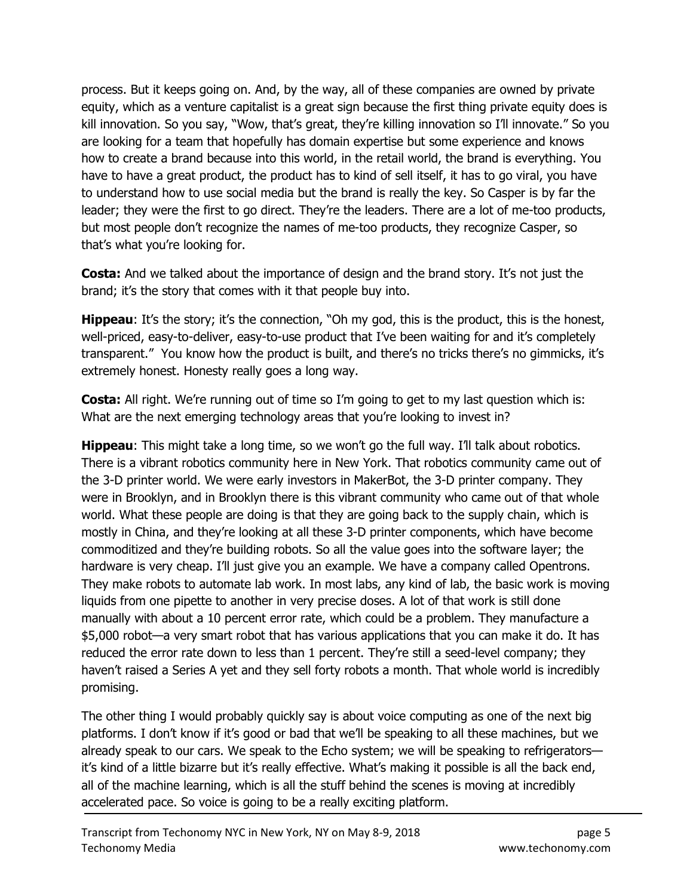process. But it keeps going on. And, by the way, all of these companies are owned by private equity, which as a venture capitalist is a great sign because the first thing private equity does is kill innovation. So you say, "Wow, that's great, they're killing innovation so I'll innovate." So you are looking for a team that hopefully has domain expertise but some experience and knows how to create a brand because into this world, in the retail world, the brand is everything. You have to have a great product, the product has to kind of sell itself, it has to go viral, you have to understand how to use social media but the brand is really the key. So Casper is by far the leader; they were the first to go direct. They're the leaders. There are a lot of me-too products, but most people don't recognize the names of me-too products, they recognize Casper, so that's what you're looking for.

**Costa:** And we talked about the importance of design and the brand story. It's not just the brand; it's the story that comes with it that people buy into.

**Hippeau:** It's the story; it's the connection, "Oh my god, this is the product, this is the honest, well-priced, easy-to-deliver, easy-to-use product that I've been waiting for and it's completely transparent." You know how the product is built, and there's no tricks there's no gimmicks, it's extremely honest. Honesty really goes a long way.

**Costa:** All right. We're running out of time so I'm going to get to my last question which is: What are the next emerging technology areas that you're looking to invest in?

**Hippeau:** This might take a long time, so we won't go the full way. I'll talk about robotics. There is a vibrant robotics community here in New York. That robotics community came out of the 3-D printer world. We were early investors in MakerBot, the 3-D printer company. They were in Brooklyn, and in Brooklyn there is this vibrant community who came out of that whole world. What these people are doing is that they are going back to the supply chain, which is mostly in China, and they're looking at all these 3-D printer components, which have become commoditized and they're building robots. So all the value goes into the software layer; the hardware is very cheap. I'll just give you an example. We have a company called Opentrons. They make robots to automate lab work. In most labs, any kind of lab, the basic work is moving liquids from one pipette to another in very precise doses. A lot of that work is still done manually with about a 10 percent error rate, which could be a problem. They manufacture a \$5,000 robot—a very smart robot that has various applications that you can make it do. It has reduced the error rate down to less than 1 percent. They're still a seed-level company; they haven't raised a Series A yet and they sell forty robots a month. That whole world is incredibly promising.

The other thing I would probably quickly say is about voice computing as one of the next big platforms. I don't know if it's good or bad that we'll be speaking to all these machines, but we already speak to our cars. We speak to the Echo system; we will be speaking to refrigerators it's kind of a little bizarre but it's really effective. What's making it possible is all the back end, all of the machine learning, which is all the stuff behind the scenes is moving at incredibly accelerated pace. So voice is going to be a really exciting platform.